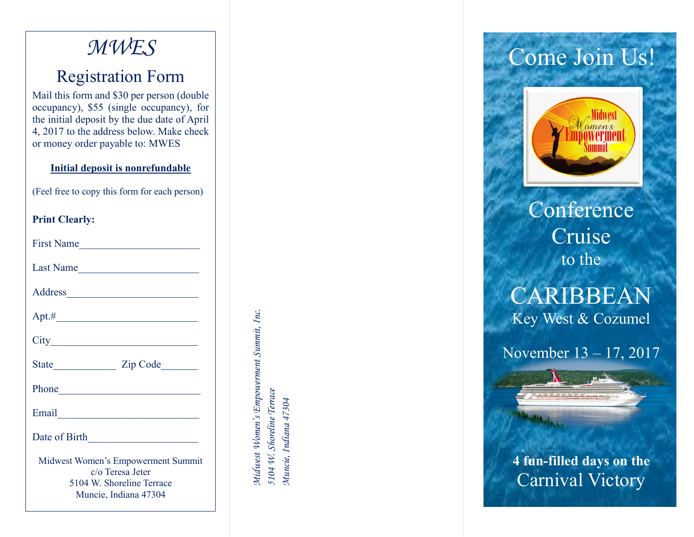## *MWES*

### Registration Form

Mail this form and \$30 per person (double occupancy), \$55 (single occupancy), for the initial deposit by the due date of April 4, 2017 to the address below. Make check or money order payable to: MWE S

#### **Initial deposit is nonrefundable**

(Feel free to copy this form for each person )

### **Print Clearly:**

| First Name                                                                                                                                                                                                                                               |  |
|----------------------------------------------------------------------------------------------------------------------------------------------------------------------------------------------------------------------------------------------------------|--|
| Last Name                                                                                                                                                                                                                                                |  |
|                                                                                                                                                                                                                                                          |  |
|                                                                                                                                                                                                                                                          |  |
| $City$ and $(x)$ and $(x)$ and $(x)$ and $(x)$ and $(x)$ and $(x)$ and $(x)$ and $(x)$ and $(x)$ and $(x)$ and $(x)$ and $(x)$ and $(x)$ and $(x)$ and $(x)$ and $(x)$ and $(x)$ and $(x)$ and $(x)$ and $(x)$ and $(x)$ and $(x)$ and $(x)$ and $(x)$ a |  |
|                                                                                                                                                                                                                                                          |  |
| Phone <u>and</u> the state of the state of the state of the state of the state of the state of the state of the state of the state of the state of the state of the state of the state of the state of the state of the state of th                      |  |
| Email <u>Communication</u>                                                                                                                                                                                                                               |  |
|                                                                                                                                                                                                                                                          |  |
| Midwest Women's Empowerment Summit<br>c/o Teresa Jeter<br>5104 W. Shoreline Terrace<br>Muncie, Indiana 47304                                                                                                                                             |  |

Midwest Women's Empowerment Summit, Inc. *Midwest Women's Empowerment Summit, Inc.* 5104 W. Shoreline Terrace *5104 W. Shoreline Terrace* Muncie, Indiana 47304 *Muncie, Indiana 47304*

# Come Join Us!



Conference Cruise to the

## CARIBBEAN Key West & Cozumel

November 13 – 17, 2017

**4 fun -filled days on the** Carnival Victory